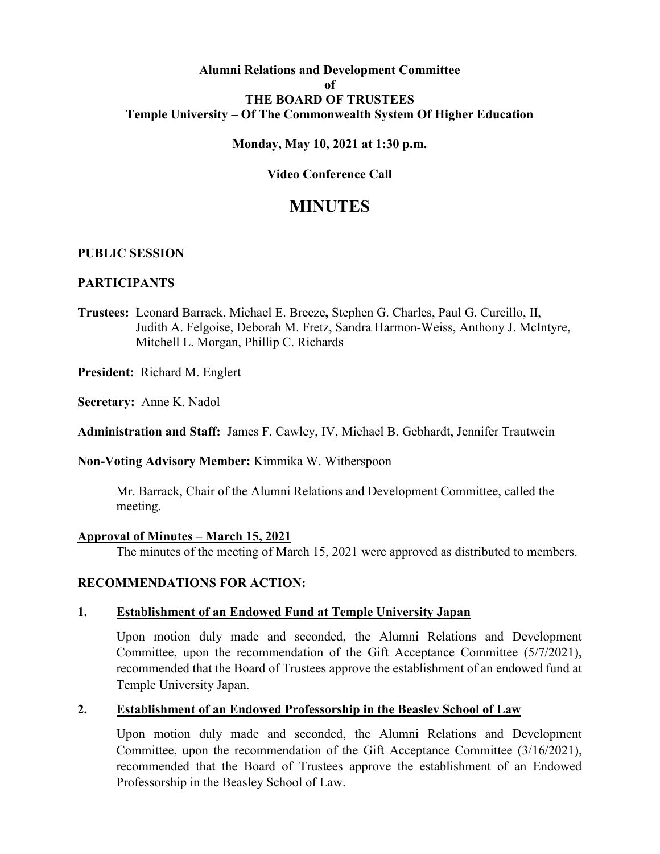#### **Alumni Relations and Development Committee of THE BOARD OF TRUSTEES Temple University – Of The Commonwealth System Of Higher Education**

#### **Monday, May 10, 2021 at 1:30 p.m.**

## **Video Conference Call**

# **MINUTES**

#### **PUBLIC SESSION**

#### **PARTICIPANTS**

**Trustees:** Leonard Barrack, Michael E. Breeze**,** Stephen G. Charles, Paul G. Curcillo, II, Judith A. Felgoise, Deborah M. Fretz, Sandra Harmon-Weiss, Anthony J. McIntyre, Mitchell L. Morgan, Phillip C. Richards

**President:** Richard M. Englert

**Secretary:** Anne K. Nadol

**Administration and Staff:** James F. Cawley, IV, Michael B. Gebhardt, Jennifer Trautwein

#### **Non-Voting Advisory Member:** Kimmika W. Witherspoon

Mr. Barrack, Chair of the Alumni Relations and Development Committee, called the meeting.

#### **Approval of Minutes – March 15, 2021**

The minutes of the meeting of March 15, 2021 were approved as distributed to members.

## **RECOMMENDATIONS FOR ACTION:**

#### **1. Establishment of an Endowed Fund at Temple University Japan**

Upon motion duly made and seconded, the Alumni Relations and Development Committee, upon the recommendation of the Gift Acceptance Committee (5/7/2021), recommended that the Board of Trustees approve the establishment of an endowed fund at Temple University Japan.

## **2. Establishment of an Endowed Professorship in the Beasley School of Law**

Upon motion duly made and seconded, the Alumni Relations and Development Committee, upon the recommendation of the Gift Acceptance Committee (3/16/2021), recommended that the Board of Trustees approve the establishment of an Endowed Professorship in the Beasley School of Law.